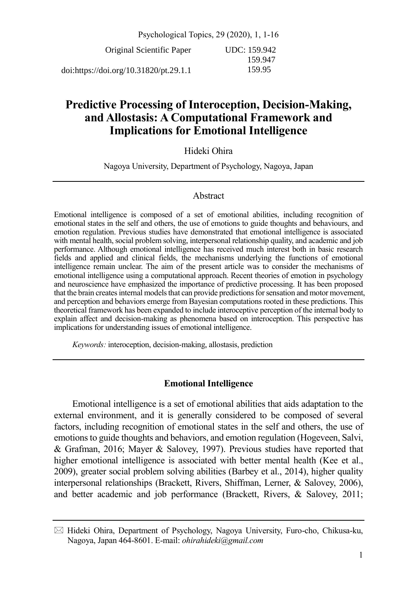Psychological Topics, 29 (2020), 1, 1-16 Original Scientific Paper doi:https://doi.org/10.31820/pt.29.1.1 UDC: 159.942 159.947 159.95

# **Predictive Processing of Interoception, Decision-Making, and Allostasis: A Computational Framework and Implications for Emotional Intelligence**

# Hideki Ohira

Nagoya University, Department of Psychology, Nagoya, Japan

### Abstract

Emotional intelligence is composed of a set of emotional abilities, including recognition of emotional states in the self and others, the use of emotions to guide thoughts and behaviours, and emotion regulation. Previous studies have demonstrated that emotional intelligence is associated with mental health, social problem solving, interpersonal relationship quality, and academic and job performance. Although emotional intelligence has received much interest both in basic research fields and applied and clinical fields, the mechanisms underlying the functions of emotional intelligence remain unclear. The aim of the present article was to consider the mechanisms of emotional intelligence using a computational approach. Recent theories of emotion in psychology and neuroscience have emphasized the importance of predictive processing. It has been proposed that the brain createsinternal models that can provide predictions for sensation and motor movement, and perception and behaviors emerge from Bayesian computations rooted in these predictions. This theoretical framework has been expanded to include interoceptive perception of the internal body to explain affect and decision-making as phenomena based on interoception. This perspective has implications for understanding issues of emotional intelligence.

*Keywords:* interoception, decision-making, allostasis, prediction

# **Emotional Intelligence**

Emotional intelligence is a set of emotional abilities that aids adaptation to the external environment, and it is generally considered to be composed of several factors, including recognition of emotional states in the self and others, the use of emotions to guide thoughts and behaviors, and emotion regulation (Hogeveen, Salvi, & Grafman, 2016; Mayer & Salovey, 1997). Previous studies have reported that higher emotional intelligence is associated with better mental health (Kee et al., 2009), greater social problem solving abilities (Barbey et al., 2014), higher quality interpersonal relationships (Brackett, Rivers, Shiffman, Lerner, & Salovey, 2006), and better academic and job performance (Brackett, Rivers, & Salovey, 2011;

Hideki Ohira, Department of Psychology, Nagoya University, Furo-cho, Chikusa-ku, Nagoya, Japan 464-8601. E-mail: *ohirahideki@gmail.com*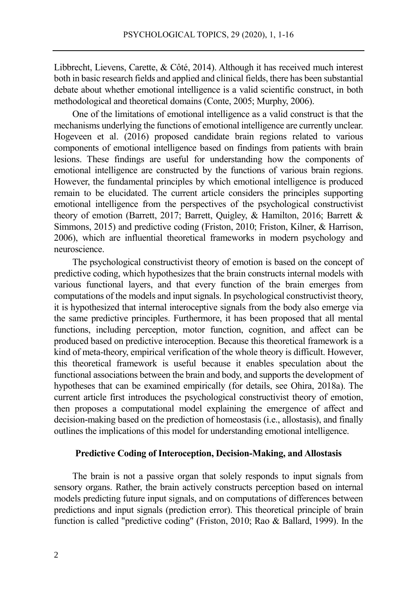Libbrecht, Lievens, Carette, & Côté, 2014). Although it has received much interest both in basic research fields and applied and clinical fields, there has been substantial debate about whether emotional intelligence is a valid scientific construct, in both methodological and theoretical domains (Conte, 2005; Murphy, 2006).

One of the limitations of emotional intelligence as a valid construct is that the mechanisms underlying the functions of emotional intelligence are currently unclear. Hogeveen et al. (2016) proposed candidate brain regions related to various components of emotional intelligence based on findings from patients with brain lesions. These findings are useful for understanding how the components of emotional intelligence are constructed by the functions of various brain regions. However, the fundamental principles by which emotional intelligence is produced remain to be elucidated. The current article considers the principles supporting emotional intelligence from the perspectives of the psychological constructivist theory of emotion (Barrett, 2017; Barrett, Quigley, & Hamilton, 2016; Barrett & Simmons, 2015) and predictive coding (Friston, 2010; Friston, Kilner, & Harrison, 2006), which are influential theoretical frameworks in modern psychology and neuroscience.

The psychological constructivist theory of emotion is based on the concept of predictive coding, which hypothesizes that the brain constructs internal models with various functional layers, and that every function of the brain emerges from computations of the models and input signals. In psychological constructivist theory, it is hypothesized that internal interoceptive signals from the body also emerge via the same predictive principles. Furthermore, it has been proposed that all mental functions, including perception, motor function, cognition, and affect can be produced based on predictive interoception. Because this theoretical framework is a kind of meta-theory, empirical verification of the whole theory is difficult. However, this theoretical framework is useful because it enables speculation about the functional associations between the brain and body, and supports the development of hypotheses that can be examined empirically (for details, see Ohira, 2018a). The current article first introduces the psychological constructivist theory of emotion, then proposes a computational model explaining the emergence of affect and decision-making based on the prediction of homeostasis (i.e., allostasis), and finally outlines the implications of this model for understanding emotional intelligence.

### **Predictive Coding of Interoception, Decision-Making, and Allostasis**

The brain is not a passive organ that solely responds to input signals from sensory organs. Rather, the brain actively constructs perception based on internal models predicting future input signals, and on computations of differences between predictions and input signals (prediction error). This theoretical principle of brain function is called "predictive coding" (Friston, 2010; Rao & Ballard, 1999). In the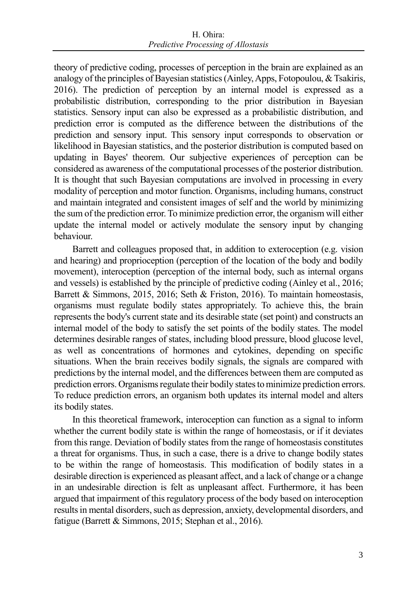theory of predictive coding, processes of perception in the brain are explained as an analogy of the principles of Bayesian statistics (Ainley, Apps, Fotopoulou, & Tsakiris, 2016). The prediction of perception by an internal model is expressed as a probabilistic distribution, corresponding to the prior distribution in Bayesian statistics. Sensory input can also be expressed as a probabilistic distribution, and prediction error is computed as the difference between the distributions of the prediction and sensory input. This sensory input corresponds to observation or likelihood in Bayesian statistics, and the posterior distribution is computed based on updating in Bayes' theorem. Our subjective experiences of perception can be considered as awareness of the computational processes of the posterior distribution. It is thought that such Bayesian computations are involved in processing in every modality of perception and motor function. Organisms, including humans, construct and maintain integrated and consistent images of self and the world by minimizing the sum of the prediction error. To minimize prediction error, the organism will either update the internal model or actively modulate the sensory input by changing behaviour.

Barrett and colleagues proposed that, in addition to exteroception (e.g. vision and hearing) and proprioception (perception of the location of the body and bodily movement), interoception (perception of the internal body, such as internal organs and vessels) is established by the principle of predictive coding (Ainley et al., 2016; Barrett & Simmons, 2015, 2016; Seth & Friston, 2016). To maintain homeostasis, organisms must regulate bodily states appropriately. To achieve this, the brain represents the body's current state and its desirable state (set point) and constructs an internal model of the body to satisfy the set points of the bodily states. The model determines desirable ranges of states, including blood pressure, blood glucose level, as well as concentrations of hormones and cytokines, depending on specific situations. When the brain receives bodily signals, the signals are compared with predictions by the internal model, and the differences between them are computed as prediction errors. Organisms regulate their bodily states to minimize prediction errors. To reduce prediction errors, an organism both updates its internal model and alters its bodily states.

In this theoretical framework, interoception can function as a signal to inform whether the current bodily state is within the range of homeostasis, or if it deviates from this range. Deviation of bodily states from the range of homeostasis constitutes a threat for organisms. Thus, in such a case, there is a drive to change bodily states to be within the range of homeostasis. This modification of bodily states in a desirable direction is experienced as pleasant affect, and a lack of change or a change in an undesirable direction is felt as unpleasant affect. Furthermore, it has been argued that impairment of this regulatory process of the body based on interoception results in mental disorders, such as depression, anxiety, developmental disorders, and fatigue (Barrett & Simmons, 2015; Stephan et al., 2016).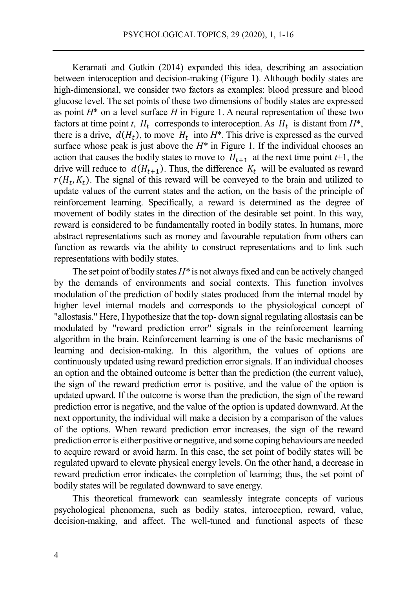Keramati and Gutkin (2014) expanded this idea, describing an association between interoception and decision-making (Figure 1). Although bodily states are high-dimensional, we consider two factors as examples: blood pressure and blood glucose level. The set points of these two dimensions of bodily states are expressed as point  $H^*$  on a level surface  $H$  in Figure 1. A neural representation of these two factors at time point *t*,  $H_t$  corresponds to interoception. As  $H_t$  is distant from  $H^*$ , there is a drive,  $d(H_t)$ , to move  $H_t$  into  $H^*$ . This drive is expressed as the curved surface whose peak is just above the  $H^*$  in Figure 1. If the individual chooses an action that causes the bodily states to move to  $H_{t+1}$  at the next time point  $t+1$ , the drive will reduce to  $d(H_{t+1})$ . Thus, the difference  $K_t$  will be evaluated as reward  $r(H_t, K_t)$ . The signal of this reward will be conveyed to the brain and utilized to update values of the current states and the action, on the basis of the principle of reinforcement learning. Specifically, a reward is determined as the degree of movement of bodily states in the direction of the desirable set point. In this way, reward is considered to be fundamentally rooted in bodily states. In humans, more abstract representations such as money and favourable reputation from others can function as rewards via the ability to construct representations and to link such representations with bodily states.

The set point of bodily states *H\** is not always fixed and can be actively changed by the demands of environments and social contexts. This function involves modulation of the prediction of bodily states produced from the internal model by higher level internal models and corresponds to the physiological concept of "allostasis." Here, I hypothesize that the top- down signal regulating allostasis can be modulated by "reward prediction error" signals in the reinforcement learning algorithm in the brain. Reinforcement learning is one of the basic mechanisms of learning and decision-making. In this algorithm, the values of options are continuously updated using reward prediction error signals. If an individual chooses an option and the obtained outcome is better than the prediction (the current value), the sign of the reward prediction error is positive, and the value of the option is updated upward. If the outcome is worse than the prediction, the sign of the reward prediction error is negative, and the value of the option is updated downward. At the next opportunity, the individual will make a decision by a comparison of the values of the options. When reward prediction error increases, the sign of the reward prediction error is either positive or negative, and some coping behaviours are needed to acquire reward or avoid harm. In this case, the set point of bodily states will be regulated upward to elevate physical energy levels. On the other hand, a decrease in reward prediction error indicates the completion of learning; thus, the set point of bodily states will be regulated downward to save energy.

This theoretical framework can seamlessly integrate concepts of various psychological phenomena, such as bodily states, interoception, reward, value, decision-making, and affect. The well-tuned and functional aspects of these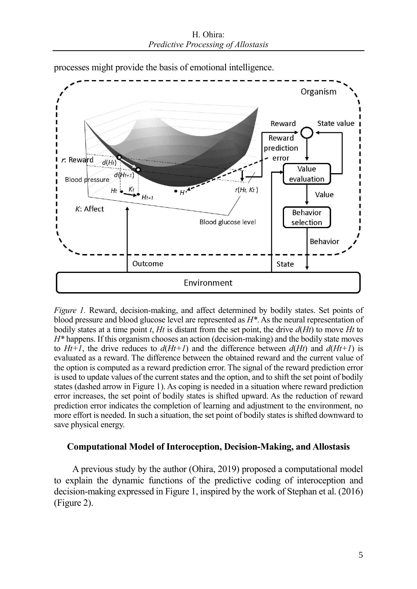H. Ohira: *Predictive Processing of Allostasis*



processes might provide the basis of emotional intelligence.

*Figure 1.* Reward, decision-making, and affect determined by bodily states. Set points of blood pressure and blood glucose level are represented as *H\**. As the neural representation of bodily states at a time point *t*, *Ht* is distant from the set point, the drive *d*(*Ht*) to move *Ht* to *H\** happens. If this organism chooses an action (decision-making) and the bodily state moves to  $Ht+1$ , the drive reduces to  $d(Ht+1)$  and the difference between  $d(Ht)$  and  $d(Ht+1)$  is evaluated as a reward. The difference between the obtained reward and the current value of the option is computed as a reward prediction error. The signal of the reward prediction error is used to update values of the current states and the option, and to shift the set point of bodily states (dashed arrow in Figure 1). As coping is needed in a situation where reward prediction error increases, the set point of bodily states is shifted upward. As the reduction of reward prediction error indicates the completion of learning and adjustment to the environment, no more effort is needed. In such a situation, the set point of bodily states is shifted downward to save physical energy.

# **Computational Model of Interoception, Decision-Making, and Allostasis**

A previous study by the author (Ohira, 2019) proposed a computational model to explain the dynamic functions of the predictive coding of interoception and decision-making expressed in Figure 1, inspired by the work of Stephan et al. (2016) (Figure 2).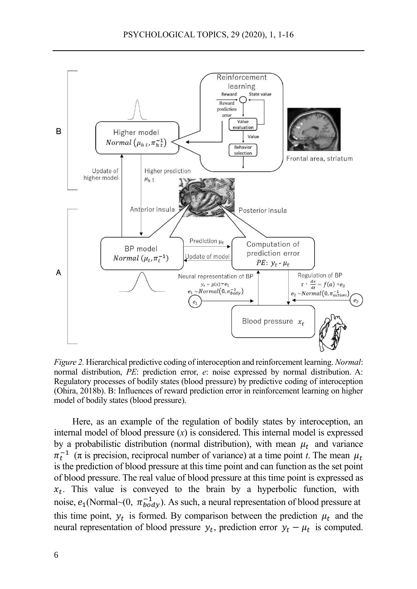

*Figure 2.* Hierarchical predictive coding of interoception and reinforcement learning. *Normal*: normal distribution, *PE*: prediction error, *e*: noise expressed by normal distribution. A: Regulatory processes of bodily states (blood pressure) by predictive coding of interoception (Ohira, 2018b). B: Influences of reward prediction error in reinforcement learning on higher model of bodily states (blood pressure).

Here, as an example of the regulation of bodily states by interoception, an internal model of blood pressure  $(x)$  is considered. This internal model is expressed by a probabilistic distribution (normal distribution), with mean  $\mu_t$  and variance  $\pi_t^{-1}$  ( $\pi$  is precision, reciprocal number of variance) at a time point *t*. The mean  $\mu_t$ is the prediction of blood pressure at this time point and can function as the set point of blood pressure. The real value of blood pressure at this time point is expressed as  $x_t$ . This value is conveyed to the brain by a hyperbolic function, with noise,  $e_1$ (Normal~(0,  $\pi_{body}^{-1}$ ). As such, a neural representation of blood pressure at this time point,  $y_t$  is formed. By comparison between the prediction  $\mu_t$  and the neural representation of blood pressure  $y_t$ , prediction error  $y_t - \mu_t$  is computed.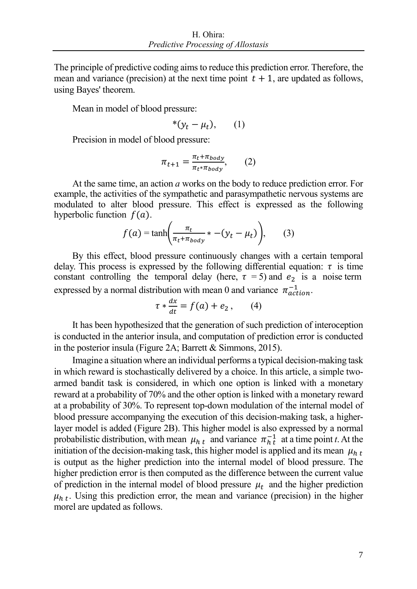The principle of predictive coding aims to reduce this prediction error. Therefore, the mean and variance (precision) at the next time point  $t + 1$ , are updated as follows, using Bayes' theorem.

Mean in model of blood pressure:

$$
*(y_t - \mu_t), \qquad (1)
$$

Precision in model of blood pressure:

$$
\pi_{t+1} = \frac{\pi_t + \pi_{body}}{\pi_t * \pi_{body}},\qquad(2)
$$

At the same time, an action *a* works on the body to reduce prediction error. For example, the activities of the sympathetic and parasympathetic nervous systems are modulated to alter blood pressure. This effect is expressed as the following hyperbolic function  $f(a)$ .

$$
f(a) = \tanh\left(\frac{\pi_t}{\pi_t + \pi_{body}} * -(y_t - \mu_t)\right), \qquad (3)
$$

By this effect, blood pressure continuously changes with a certain temporal delay. This process is expressed by the following differential equation:  $\tau$  is time constant controlling the temporal delay (here,  $\tau = 5$ ) and  $e_2$  is a noise term expressed by a normal distribution with mean 0 and variance  $\pi_{action}^{-1}$ .

$$
\tau * \frac{dx}{dt} = f(a) + e_2, \qquad (4)
$$

It has been hypothesized that the generation of such prediction of interoception is conducted in the anterior insula, and computation of prediction error is conducted in the posterior insula (Figure 2A; Barrett & Simmons, 2015).

Imagine a situation where an individual performs a typical decision-making task in which reward is stochastically delivered by a choice. In this article, a simple twoarmed bandit task is considered, in which one option is linked with a monetary reward at a probability of 70% and the other option is linked with a monetary reward at a probability of 30%. To represent top-down modulation of the internal model of blood pressure accompanying the execution of this decision-making task, a higherlayer model is added (Figure 2B). This higher model is also expressed by a normal probabilistic distribution, with mean  $\mu_{h,t}$  and variance  $\pi_{h,t}^{-1}$  at a time point *t*. At the initiation of the decision-making task, this higher model is applied and its mean  $\mu_{h,t}$ is output as the higher prediction into the internal model of blood pressure. The higher prediction error is then computed as the difference between the current value of prediction in the internal model of blood pressure  $\mu_t$  and the higher prediction  $\mu_{h,t}$ . Using this prediction error, the mean and variance (precision) in the higher morel are updated as follows.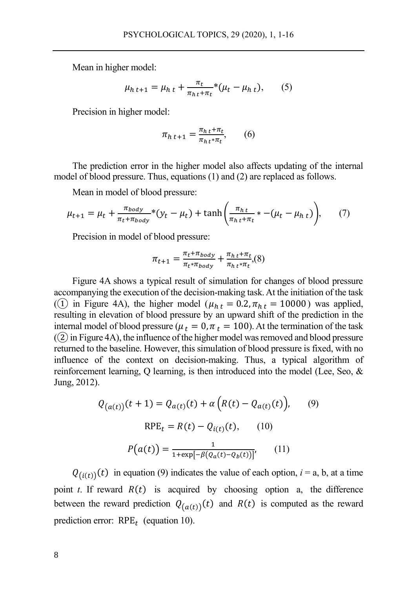Mean in higher model:

$$
\mu_{h\,t+1} = \mu_{h\,t} + \frac{\pi_t}{\pi_{h\,t} + \pi_t} * (\mu_t - \mu_{h\,t}),\qquad(5)
$$

Precision in higher model:

$$
\pi_{h\,t+1} = \frac{\pi_{h\,t} + \pi_t}{\pi_{h\,t} \ast \pi_t},\qquad(6)
$$

The prediction error in the higher model also affects updating of the internal model of blood pressure. Thus, equations (1) and (2) are replaced as follows.

Mean in model of blood pressure:

$$
\mu_{t+1} = \mu_t + \frac{\pi_{body}}{\pi_t + \pi_{body}} * (y_t - \mu_t) + \tanh\left(\frac{\pi_{ht}}{\pi_{ht} + \pi_t} * - (\mu_t - \mu_{ht})\right), \tag{7}
$$

Precision in model of blood pressure:

$$
\pi_{t+1} = \frac{\pi_t + \pi_{body}}{\pi_t * \pi_{body}} + \frac{\pi_{h\,t} + \pi_t}{\pi_{h\,t} * \pi_t}, (8)
$$

Figure 4A shows a typical result of simulation for changes of blood pressure accompanying the execution of the decision-making task. At the initiation of the task (1) in Figure 4A), the higher model ( $\mu_{h,t} = 0.2$ ,  $\pi_{h,t} = 10000$ ) was applied, resulting in elevation of blood pressure by an upward shift of the prediction in the internal model of blood pressure ( $\mu_t = 0$ ,  $\pi_t = 100$ ). At the termination of the task  $(2)$  in Figure 4A), the influence of the higher model was removed and blood pressure returned to the baseline. However, this simulation of blood pressure is fixed, with no influence of the context on decision-making. Thus, a typical algorithm of reinforcement learning, Q learning, is then introduced into the model (Lee, Seo, & Jung, 2012).

$$
Q_{(a(t))}(t+1) = Q_{a(t)}(t) + \alpha \left( R(t) - Q_{a(t)}(t) \right), \qquad (9)
$$
  
RPE<sub>t</sub> = R(t) - Q<sub>i(t)</sub>(t), (10)  

$$
P(a(t)) = \frac{1}{1 + \exp[-\beta (Q_a(t) - Q_b(t))]}, \qquad (11)
$$

 $Q_{(i(t))}(t)$  in equation (9) indicates the value of each option,  $i = a$ , b, at a time point *t*. If reward  $R(t)$  is acquired by choosing option a, the difference between the reward prediction  $Q_{(a(t))}(t)$  and  $R(t)$  is computed as the reward prediction error:  $RPE_t$  (equation 10).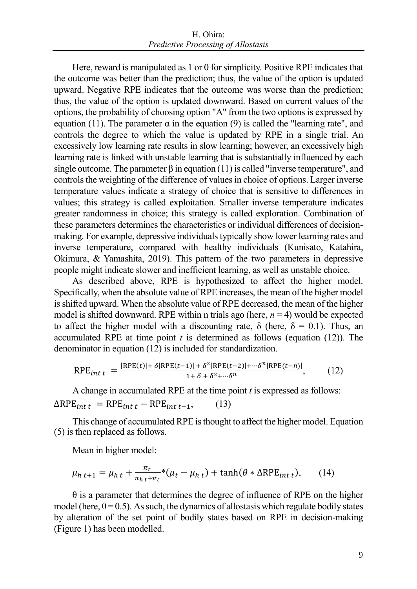Here, reward is manipulated as 1 or 0 for simplicity. Positive RPE indicates that the outcome was better than the prediction; thus, the value of the option is updated upward. Negative RPE indicates that the outcome was worse than the prediction; thus, the value of the option is updated downward. Based on current values of the options, the probability of choosing option "A" from the two options is expressed by equation (11). The parameter  $\alpha$  in the equation (9) is called the "learning rate", and controls the degree to which the value is updated by RPE in a single trial. An excessively low learning rate results in slow learning; however, an excessively high learning rate is linked with unstable learning that is substantially influenced by each single outcome. The parameter  $\beta$  in equation (11) is called "inverse temperature", and controls the weighting of the difference of values in choice of options. Larger inverse temperature values indicate a strategy of choice that is sensitive to differences in values; this strategy is called exploitation. Smaller inverse temperature indicates greater randomness in choice; this strategy is called exploration. Combination of these parameters determines the characteristics or individual differences of decisionmaking. For example, depressive individuals typically show lower learning rates and inverse temperature, compared with healthy individuals (Kunisato, Katahira, Okimura, & Yamashita, 2019). This pattern of the two parameters in depressive people might indicate slower and inefficient learning, as well as unstable choice.

As described above, RPE is hypothesized to affect the higher model. Specifically, when the absolute value of RPE increases, the mean of the higher model is shifted upward. When the absolute value of RPE decreased, the mean of the higher model is shifted downward. RPE within n trials ago (here,  $n = 4$ ) would be expected to affect the higher model with a discounting rate,  $\delta$  (here,  $\delta = 0.1$ ). Thus, an accumulated RPE at time point  $t$  is determined as follows (equation  $(12)$ ). The denominator in equation (12) is included for standardization.

$$
RPE_{int\ t} = \frac{|RPE(t)| + \delta |RPE(t-1)| + \delta^2 |RPE(t-2)| + \cdots \delta^n |RPE(t-n)|}{1 + \delta + \delta^2 + \cdots \delta^n},\tag{12}
$$

A change in accumulated RPE at the time point *t* is expressed as follows:  $\Delta RPE_{int t} = RPE_{int t} - RPE_{int t-1},$  (13)

This change of accumulated RPE is thought to affect the higher model. Equation (5) is then replaced as follows.

Mean in higher model:

$$
\mu_{h\,t+1} = \mu_{h\,t} + \frac{\pi_t}{\pi_{h\,t} + \pi_t} * (\mu_t - \mu_{h\,t}) + \tanh(\theta * \Delta \text{RPE}_{int\,t}),\qquad(14)
$$

 $\theta$  is a parameter that determines the degree of influence of RPE on the higher model (here,  $\theta = 0.5$ ). As such, the dynamics of allostasis which regulate bodily states by alteration of the set point of bodily states based on RPE in decision-making (Figure 1) has been modelled.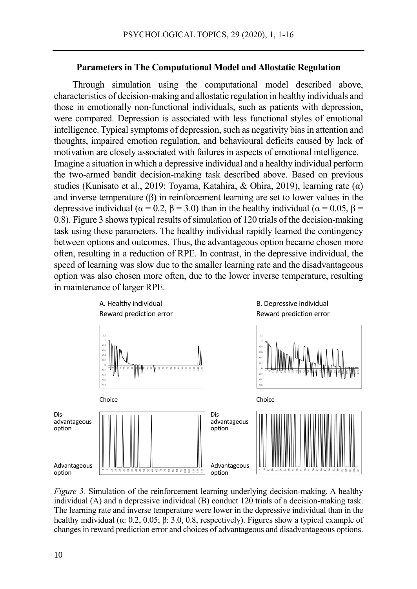#### **Parameters in The Computational Model and Allostatic Regulation**

Through simulation using the computational model described above, characteristics of decision-making and allostatic regulation in healthy individuals and those in emotionally non-functional individuals, such as patients with depression, were compared. Depression is associated with less functional styles of emotional intelligence. Typical symptoms of depression, such as negativity bias in attention and thoughts, impaired emotion regulation, and behavioural deficits caused by lack of motivation are closely associated with failures in aspects of emotional intelligence. Imagine a situation in which a depressive individual and a healthy individual perform the two-armed bandit decision-making task described above. Based on previous studies (Kunisato et al., 2019; Toyama, Katahira, & Ohira, 2019), learning rate (α) and inverse temperature  $(\beta)$  in reinforcement learning are set to lower values in the depressive individual ( $\alpha = 0.2$ ,  $\beta = 3.0$ ) than in the healthy individual ( $\alpha = 0.05$ ,  $\beta =$ 0.8). Figure 3 shows typical results of simulation of 120 trials of the decision-making task using these parameters. The healthy individual rapidly learned the contingency between options and outcomes. Thus, the advantageous option became chosen more often, resulting in a reduction of RPE. In contrast, in the depressive individual, the speed of learning was slow due to the smaller learning rate and the disadvantageous option was also chosen more often, due to the lower inverse temperature, resulting in maintenance of larger RPE.



*Figure 3.* Simulation of the reinforcement learning underlying decision-making. A healthy individual (A) and a depressive individual (B) conduct 120 trials of a decision-making task. The learning rate and inverse temperature were lower in the depressive individual than in the healthy individual ( $\alpha$ : 0.2, 0.05;  $\beta$ : 3.0, 0.8, respectively). Figures show a typical example of changes in reward prediction error and choices of advantageous and disadvantageous options.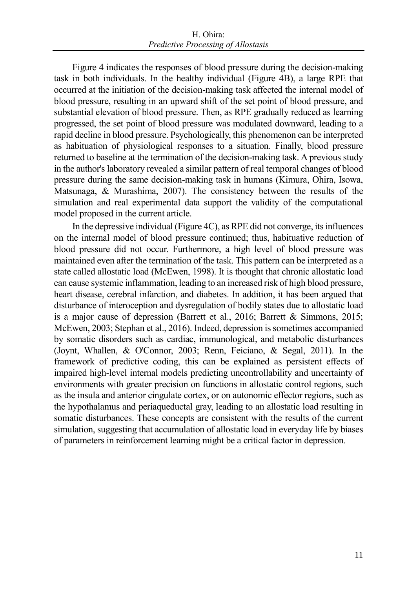Figure 4 indicates the responses of blood pressure during the decision-making task in both individuals. In the healthy individual (Figure 4B), a large RPE that occurred at the initiation of the decision-making task affected the internal model of blood pressure, resulting in an upward shift of the set point of blood pressure, and substantial elevation of blood pressure. Then, as RPE gradually reduced as learning progressed, the set point of blood pressure was modulated downward, leading to a rapid decline in blood pressure. Psychologically, this phenomenon can be interpreted as habituation of physiological responses to a situation. Finally, blood pressure returned to baseline at the termination of the decision-making task. A previous study in the author's laboratory revealed a similar pattern of real temporal changes of blood pressure during the same decision-making task in humans (Kimura, Ohira, Isowa, Matsunaga, & Murashima, 2007). The consistency between the results of the simulation and real experimental data support the validity of the computational model proposed in the current article.

In the depressive individual (Figure 4C), as RPE did not converge, its influences on the internal model of blood pressure continued; thus, habituative reduction of blood pressure did not occur. Furthermore, a high level of blood pressure was maintained even after the termination of the task. This pattern can be interpreted as a state called allostatic load (McEwen, 1998). It is thought that chronic allostatic load can cause systemic inflammation, leading to an increased risk of high blood pressure, heart disease, cerebral infarction, and diabetes. In addition, it has been argued that disturbance of interoception and dysregulation of bodily states due to allostatic load is a major cause of depression (Barrett et al., 2016; Barrett & Simmons, 2015; McEwen, 2003; Stephan et al., 2016). Indeed, depression is sometimes accompanied by somatic disorders such as cardiac, immunological, and metabolic disturbances (Joynt, Whallen, & O'Connor, 2003; Renn, Feiciano, & Segal, 2011). In the framework of predictive coding, this can be explained as persistent effects of impaired high-level internal models predicting uncontrollability and uncertainty of environments with greater precision on functions in allostatic control regions, such as the insula and anterior cingulate cortex, or on autonomic effector regions, such as the hypothalamus and periaqueductal gray, leading to an allostatic load resulting in somatic disturbances. These concepts are consistent with the results of the current simulation, suggesting that accumulation of allostatic load in everyday life by biases of parameters in reinforcement learning might be a critical factor in depression.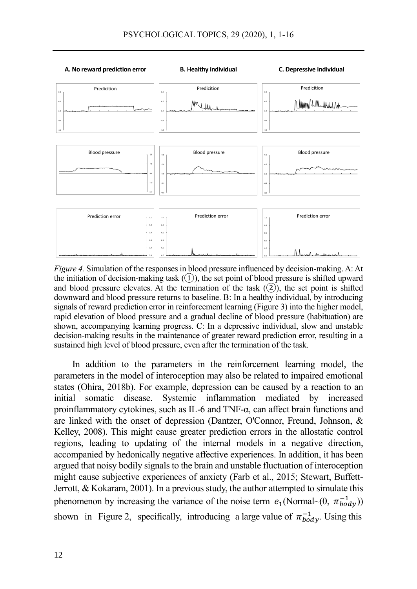

*Figure 4.* Simulation of the responses in blood pressure influenced by decision-making. A: At the initiation of decision-making task  $(1)$ , the set point of blood pressure is shifted upward and blood pressure elevates. At the termination of the task  $(2)$ , the set point is shifted downward and blood pressure returns to baseline. B: In a healthy individual, by introducing signals of reward prediction error in reinforcement learning (Figure 3) into the higher model, rapid elevation of blood pressure and a gradual decline of blood pressure (habituation) are shown, accompanying learning progress. C: In a depressive individual, slow and unstable decision-making results in the maintenance of greater reward prediction error, resulting in a sustained high level of blood pressure, even after the termination of the task.

In addition to the parameters in the reinforcement learning model, the parameters in the model of interoception may also be related to impaired emotional states (Ohira, 2018b). For example, depression can be caused by a reaction to an initial somatic disease. Systemic inflammation mediated by increased proinflammatory cytokines, such as IL-6 and TNF-α, can affect brain functions and are linked with the onset of depression (Dantzer, O'Connor, Freund, Johnson, & Kelley, 2008). This might cause greater prediction errors in the allostatic control regions, leading to updating of the internal models in a negative direction, accompanied by hedonically negative affective experiences. In addition, it has been argued that noisy bodily signals to the brain and unstable fluctuation of interoception might cause subjective experiences of anxiety (Farb et al., 2015; Stewart, Buffett-Jerrott, & Kokaram, 2001). In a previous study, the author attempted to simulate this phenomenon by increasing the variance of the noise term  $e_1$ (Normal~(0,  $\pi_{body}^{-1}$ )) shown in Figure 2, specifically, introducing a large value of  $\pi_{body}^{-1}$ . Using this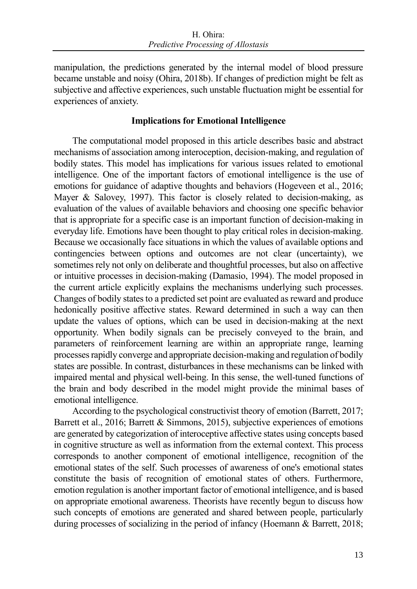manipulation, the predictions generated by the internal model of blood pressure became unstable and noisy (Ohira, 2018b). If changes of prediction might be felt as subjective and affective experiences, such unstable fluctuation might be essential for experiences of anxiety.

# **Implications for Emotional Intelligence**

The computational model proposed in this article describes basic and abstract mechanisms of association among interoception, decision-making, and regulation of bodily states. This model has implications for various issues related to emotional intelligence. One of the important factors of emotional intelligence is the use of emotions for guidance of adaptive thoughts and behaviors (Hogeveen et al., 2016; Mayer & Salovey, 1997). This factor is closely related to decision-making, as evaluation of the values of available behaviors and choosing one specific behavior that is appropriate for a specific case is an important function of decision-making in everyday life. Emotions have been thought to play critical roles in decision-making. Because we occasionally face situations in which the values of available options and contingencies between options and outcomes are not clear (uncertainty), we sometimes rely not only on deliberate and thoughtful processes, but also on affective or intuitive processes in decision-making (Damasio, 1994). The model proposed in the current article explicitly explains the mechanisms underlying such processes. Changes of bodily states to a predicted set point are evaluated as reward and produce hedonically positive affective states. Reward determined in such a way can then update the values of options, which can be used in decision-making at the next opportunity. When bodily signals can be precisely conveyed to the brain, and parameters of reinforcement learning are within an appropriate range, learning processes rapidly converge and appropriate decision-making and regulation of bodily states are possible. In contrast, disturbances in these mechanisms can be linked with impaired mental and physical well-being. In this sense, the well-tuned functions of the brain and body described in the model might provide the minimal bases of emotional intelligence.

According to the psychological constructivist theory of emotion (Barrett, 2017; Barrett et al., 2016; Barrett & Simmons, 2015), subjective experiences of emotions are generated by categorization of interoceptive affective states using concepts based in cognitive structure as well as information from the external context. This process corresponds to another component of emotional intelligence, recognition of the emotional states of the self. Such processes of awareness of one's emotional states constitute the basis of recognition of emotional states of others. Furthermore, emotion regulation is another important factor of emotional intelligence, and is based on appropriate emotional awareness. Theorists have recently begun to discuss how such concepts of emotions are generated and shared between people, particularly during processes of socializing in the period of infancy (Hoemann & Barrett, 2018;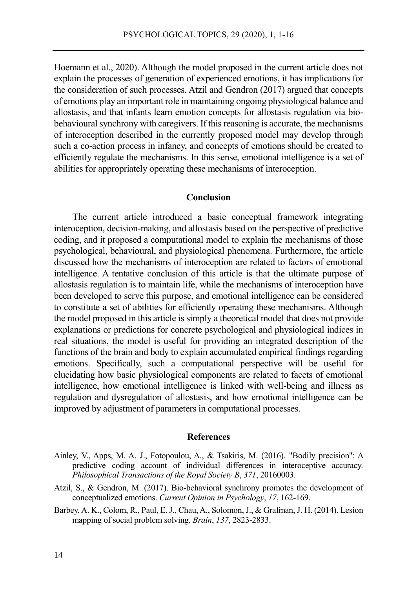Hoemann et al., 2020). Although the model proposed in the current article does not explain the processes of generation of experienced emotions, it has implications for the consideration of such processes. Atzil and Gendron (2017) argued that concepts of emotions play an important role in maintaining ongoing physiological balance and allostasis, and that infants learn emotion concepts for allostasis regulation via biobehavioural synchrony with caregivers. If this reasoning is accurate, the mechanisms of interoception described in the currently proposed model may develop through such a co-action process in infancy, and concepts of emotions should be created to efficiently regulate the mechanisms. In this sense, emotional intelligence is a set of abilities for appropriately operating these mechanisms of interoception.

# **Conclusion**

The current article introduced a basic conceptual framework integrating interoception, decision-making, and allostasis based on the perspective of predictive coding, and it proposed a computational model to explain the mechanisms of those psychological, behavioural, and physiological phenomena. Furthermore, the article discussed how the mechanisms of interoception are related to factors of emotional intelligence. A tentative conclusion of this article is that the ultimate purpose of allostasis regulation is to maintain life, while the mechanisms of interoception have been developed to serve this purpose, and emotional intelligence can be considered to constitute a set of abilities for efficiently operating these mechanisms. Although the model proposed in this article is simply a theoretical model that does not provide explanations or predictions for concrete psychological and physiological indices in real situations, the model is useful for providing an integrated description of the functions of the brain and body to explain accumulated empirical findings regarding emotions. Specifically, such a computational perspective will be useful for elucidating how basic physiological components are related to facets of emotional intelligence, how emotional intelligence is linked with well-being and illness as regulation and dysregulation of allostasis, and how emotional intelligence can be improved by adjustment of parameters in computational processes.

# **References**

- Ainley, V., Apps, M. A. J., Fotopoulou, A., & Tsakiris, M. (2016). "Bodily precision": A predictive coding account of individual differences in interoceptive accuracy. *Philosophical Transactions of the Royal Society B*, *371*, 20160003.
- Atzil, S., & Gendron, M. (2017). Bio-behavioral synchrony promotes the development of conceptualized emotions. *Current Opinion in Psychology*, *17*, 162-169.
- Barbey, A. K., Colom, R., Paul, E. J., Chau, A., Solomon, J., & Grafman, J. H. (2014). Lesion mapping of social problem solving. *Brain*, *137*, 2823-2833.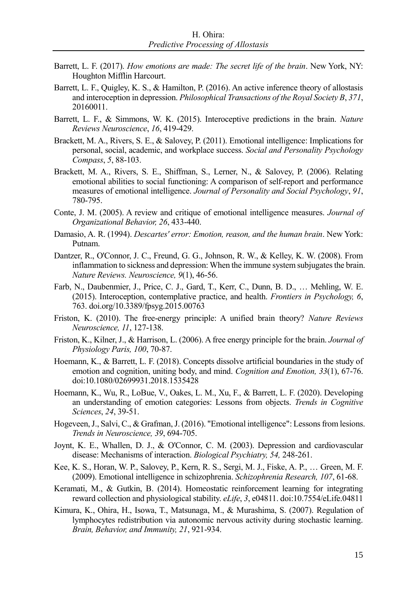- Barrett, L. F. (2017). *How emotions are made: The secret life of the brain*. New York, NY: Houghton Mifflin Harcourt.
- Barrett, L. F., Quigley, K. S., & Hamilton, P. (2016). An active inference theory of allostasis and interoception in depression. *Philosophical Transactions of the Royal Society B*, *371*, 20160011.
- Barrett, L. F., & Simmons, W. K. (2015). Interoceptive predictions in the brain. *Nature Reviews Neuroscience*, *16*, 419-429.
- Brackett, M. A., Rivers, S. E., & Salovey, P. (2011). Emotional intelligence: Implications for personal, social, academic, and workplace success. *Social and Personality Psychology Compass*, *5*, 88-103.
- Brackett, M. A., Rivers, S. E., Shiffman, S., Lerner, N., & Salovey, P. (2006). Relating emotional abilities to social functioning: A comparison of self-report and performance measures of emotional intelligence. *Journal of Personality and Social Psychology*, *91*, 780-795.
- Conte, J. M. (2005). A review and critique of emotional intelligence measures. *Journal of Organizational Behavior, 26*, 433-440.
- Damasio, A. R. (1994). *Descartes' error: Emotion, reason, and the human brain*. New York: Putnam.
- Dantzer, R., O'Connor, J. C., Freund, G. G., Johnson, R. W., & Kelley, K. W. (2008). From inflammation to sickness and depression: When the immune system subjugates the brain. *Nature Reviews. Neuroscience, 9*(1), 46-56.
- Farb, N., Daubenmier, J., Price, C. J., Gard, T., Kerr, C., Dunn, B. D., … Mehling, W. E. (2015). Interoception, contemplative practice, and health. *Frontiers in Psychology, 6*, 763. doi.org/10.3389/fpsyg.2015.00763
- Friston, K. (2010). The free-energy principle: A unified brain theory? *Nature Reviews Neuroscience, 11*, 127-138.
- Friston, K., Kilner, J., & Harrison, L. (2006). A free energy principle for the brain. *Journal of Physiology Paris, 100*, 70-87.
- Hoemann, K., & Barrett, L. F. (2018). Concepts dissolve artificial boundaries in the study of emotion and cognition, uniting body, and mind. *Cognition and Emotion, 33*(1), 67-76. doi:10.1080/02699931.2018.1535428
- Hoemann, K., Wu, R., LoBue, V., Oakes, L. M., Xu, F., & Barrett, L. F. (2020). Developing an understanding of emotion categories: Lessons from objects. *Trends in Cognitive Sciences*, *24*, 39-51.
- Hogeveen, J., Salvi, C., & Grafman, J. (2016). "Emotional intelligence": Lessons from lesions. *Trends in Neuroscience, 39*, 694-705.
- Joynt, K. E., Whallen, D. J., & O'Connor, C. M. (2003). Depression and cardiovascular disease: Mechanisms of interaction. *Biological Psychiatry, 54,* 248-261.
- Kee, K. S., Horan, W. P., Salovey, P., Kern, R. S., Sergi, M. J., Fiske, A. P., … Green, M. F. (2009). Emotional intelligence in schizophrenia. *Schizophrenia Research, 107*, 61-68.
- Keramati, M., & Gutkin, B. (2014). Homeostatic reinforcement learning for integrating reward collection and physiological stability. *eLife*, *3*, e04811. doi:10.7554/eLife.04811
- Kimura, K., Ohira, H., Isowa, T., Matsunaga, M., & Murashima, S. (2007). Regulation of lymphocytes redistribution via autonomic nervous activity during stochastic learning. *Brain, Behavior, and Immunity, 21*, 921-934.